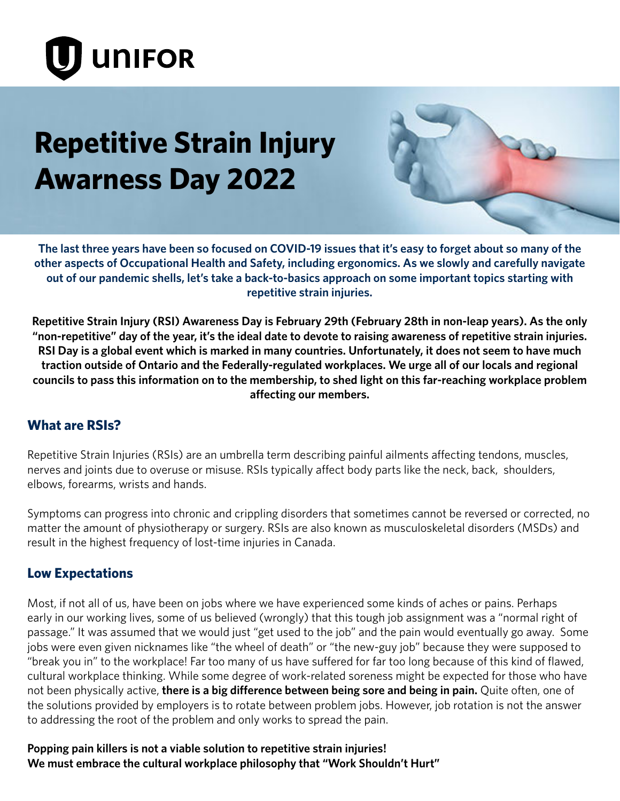

# **Repetitive Strain Injury Awarness Day 2022**

**The last three years have been so focused on COVID-19 issues that it's easy to forget about so many of the other aspects of Occupational Health and Safety, including ergonomics. As we slowly and carefully navigate out of our pandemic shells, let's take a back-to-basics approach on some important topics starting with repetitive strain injuries.**

**Repetitive Strain Injury (RSI) Awareness Day is February 29th (February 28th in non-leap years). As the only "non-repetitive" day of the year, it's the ideal date to devote to raising awareness of repetitive strain injuries. RSI Day is a global event which is marked in many countries. Unfortunately, it does not seem to have much traction outside of Ontario and the Federally-regulated workplaces. We urge all of our locals and regional councils to pass this information on to the membership, to shed light on this far-reaching workplace problem affecting our members.**

# **What are RSIs?**

Repetitive Strain Injuries (RSIs) are an umbrella term describing painful ailments affecting tendons, muscles, nerves and joints due to overuse or misuse. RSIs typically affect body parts like the neck, back, shoulders, elbows, forearms, wrists and hands.

Symptoms can progress into chronic and crippling disorders that sometimes cannot be reversed or corrected, no matter the amount of physiotherapy or surgery. RSIs are also known as musculoskeletal disorders (MSDs) and result in the highest frequency of lost-time injuries in Canada.

## **Low Expectations**

Most, if not all of us, have been on jobs where we have experienced some kinds of aches or pains. Perhaps early in our working lives, some of us believed (wrongly) that this tough job assignment was a "normal right of passage." It was assumed that we would just "get used to the job" and the pain would eventually go away. Some jobs were even given nicknames like "the wheel of death" or "the new-guy job" because they were supposed to "break you in" to the workplace! Far too many of us have suffered for far too long because of this kind of flawed, cultural workplace thinking. While some degree of work-related soreness might be expected for those who have not been physically active, **there is a big difference between being sore and being in pain.** Quite often, one of the solutions provided by employers is to rotate between problem jobs. However, job rotation is not the answer to addressing the root of the problem and only works to spread the pain.

**Popping pain killers is not a viable solution to repetitive strain injuries! We must embrace the cultural workplace philosophy that "Work Shouldn't Hurt"**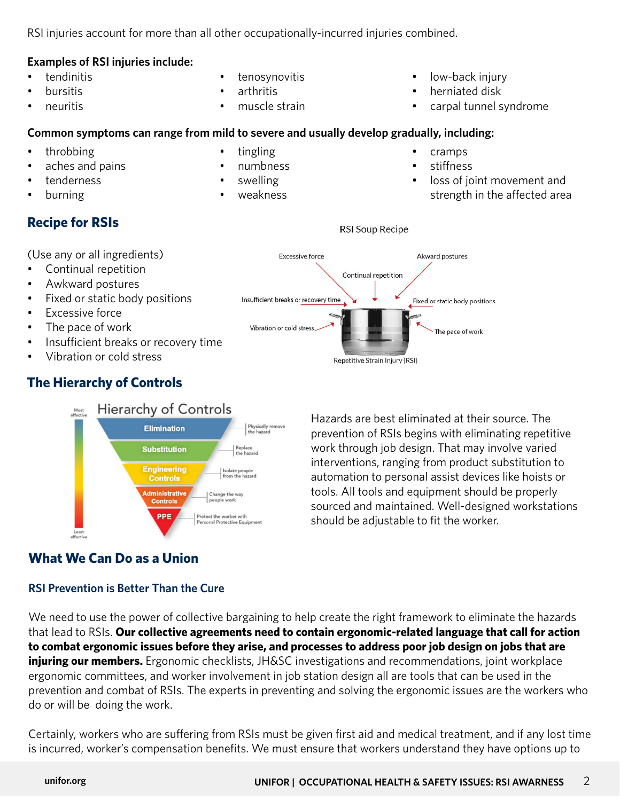RSI injuries account for more than all other occupationally-incurred injuries combined.

# **Examples of RSI injuries include:**

- tendinitis
- bursitis
- neuritis
- tenosynovitis
- arthritis
- muscle strain
- low-back injury
- herniated disk
- carpal tunnel syndrome

#### **Common symptoms can range from mild to severe and usually develop gradually, including:**  • tingling

• numbness swelling • weakness

- throbbing
- aches and pains
- tenderness
- burning

# **Recipe for RSIs**

(Use any or all ingredients)

- Continual repetition
- Awkward postures
- Fixed or static body positions
- Excessive force
- The pace of work
- Insufficient breaks or recovery time
- Vibration or cold stress

# **The Hierarchy of Controls**

#### **Hierarchy of Controls** Most **Elimination** Physically re the hazar Replace<br>the hazard **Substitution Engineering** Isolate people<br>from the hazard **Controls** dministrative Change the way Controls people work PPE rotect the worker with onal Protective Equipr

Hazards are best eliminated at their source. The prevention of RSIs begins with eliminating repetitive work through job design. That may involve varied interventions, ranging from product substitution to automation to personal assist devices like hoists or tools. All tools and equipment should be properly sourced and maintained. Well-designed workstations should be adjustable to fit the worker.

# **What We Can Do as a Union**

# **RSI Prevention is Better Than the Cure**

We need to use the power of collective bargaining to help create the right framework to eliminate the hazards that lead to RSIs. **Our collective agreements need to contain ergonomic-related language that call for action to combat ergonomic issues before they arise, and processes to address poor job design on jobs that are injuring our members.** Ergonomic checklists, JH&SC investigations and recommendations, joint workplace ergonomic committees, and worker involvement in job station design all are tools that can be used in the prevention and combat of RSIs. The experts in preventing and solving the ergonomic issues are the workers who do or will be doing the work.

Certainly, workers who are suffering from RSIs must be given first aid and medical treatment, and if any lost time is incurred, worker's compensation benefits. We must ensure that workers understand they have options up to

Excessive force Akward postures Continual repetition Insufficient breaks or recovery time Fixed or static body positions Vibration or cold stress The pace of work Repetitive Strain Injury (RSI)

- 
- **RSI Soup Recipe**
- 
-